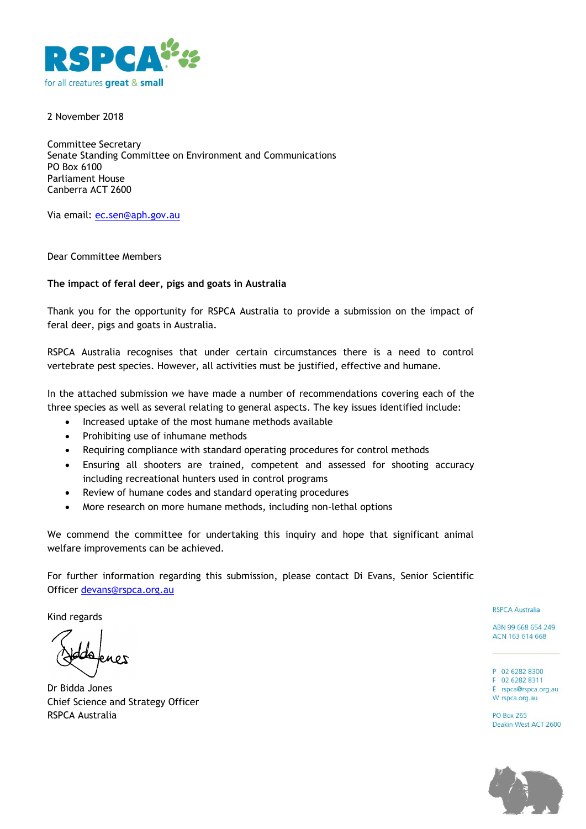

2 November 2018

Committee Secretary Senate Standing Committee on Environment and Communications PO Box 6100 Parliament House Canberra ACT 2600

Via email: [ec.sen@aph.gov.au](mailto:ec.sen@aph.gov.au)

Dear Committee Members

#### **The impact of feral deer, pigs and goats in Australia**

Thank you for the opportunity for RSPCA Australia to provide a submission on the impact of feral deer, pigs and goats in Australia.

RSPCA Australia recognises that under certain circumstances there is a need to control vertebrate pest species. However, all activities must be justified, effective and humane.

In the attached submission we have made a number of recommendations covering each of the three species as well as several relating to general aspects. The key issues identified include:

- Increased uptake of the most humane methods available
- Prohibiting use of inhumane methods
- Requiring compliance with standard operating procedures for control methods
- Ensuring all shooters are trained, competent and assessed for shooting accuracy including recreational hunters used in control programs
- Review of humane codes and standard operating procedures
- More research on more humane methods, including non-lethal options

We commend the committee for undertaking this inquiry and hope that significant animal welfare improvements can be achieved.

For further information regarding this submission, please contact Di Evans, Senior Scientific Officer [devans@rspca.org.au](mailto:devans@rspca.org.au)

Kind regards

Dr Bidda Jones Chief Science and Strategy Officer RSPCA Australia

**RSPCA Australia** 

ABN 99 668 654 249 ACN 163 614 668

P 02 6282 8300 F 02 6282 8311 E rspca@rspca.org.au W rspca.org.au

**PO Box 265** Deakin West ACT 2600

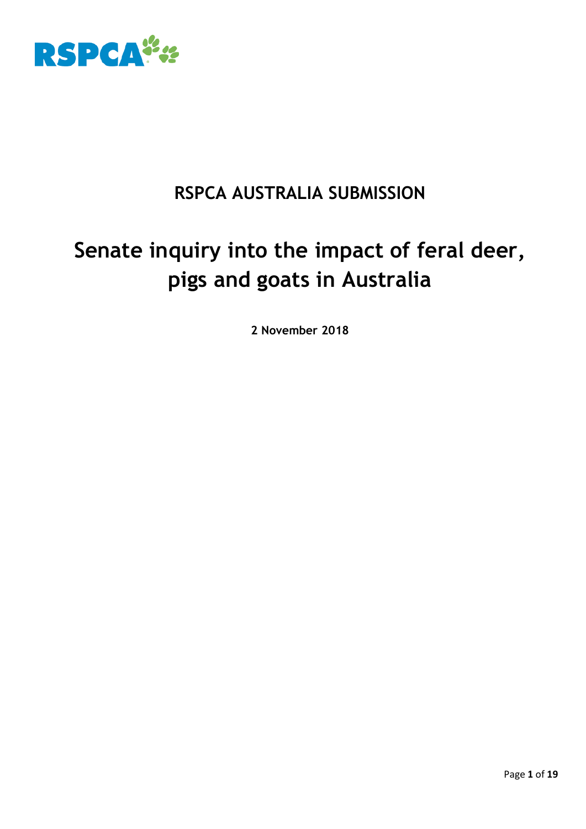

# **RSPCA AUSTRALIA SUBMISSION**

# **Senate inquiry into the impact of feral deer, pigs and goats in Australia**

**2 November 2018**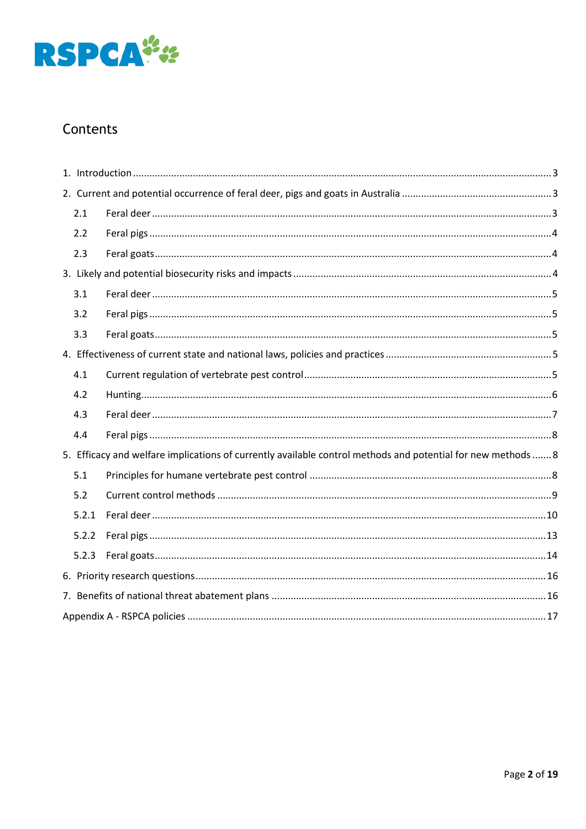

# Contents

|  | 2.1   |                                                                                                              |  |  |
|--|-------|--------------------------------------------------------------------------------------------------------------|--|--|
|  | 2.2   |                                                                                                              |  |  |
|  | 2.3   |                                                                                                              |  |  |
|  |       |                                                                                                              |  |  |
|  | 3.1   |                                                                                                              |  |  |
|  | 3.2   |                                                                                                              |  |  |
|  | 3.3   |                                                                                                              |  |  |
|  |       |                                                                                                              |  |  |
|  | 4.1   |                                                                                                              |  |  |
|  | 4.2   |                                                                                                              |  |  |
|  | 4.3   |                                                                                                              |  |  |
|  | 4.4   |                                                                                                              |  |  |
|  |       | 5. Efficacy and welfare implications of currently available control methods and potential for new methods  8 |  |  |
|  | 5.1   |                                                                                                              |  |  |
|  | 5.2   |                                                                                                              |  |  |
|  | 5.2.1 |                                                                                                              |  |  |
|  | 5.2.2 |                                                                                                              |  |  |
|  | 5.2.3 |                                                                                                              |  |  |
|  |       |                                                                                                              |  |  |
|  |       |                                                                                                              |  |  |
|  |       |                                                                                                              |  |  |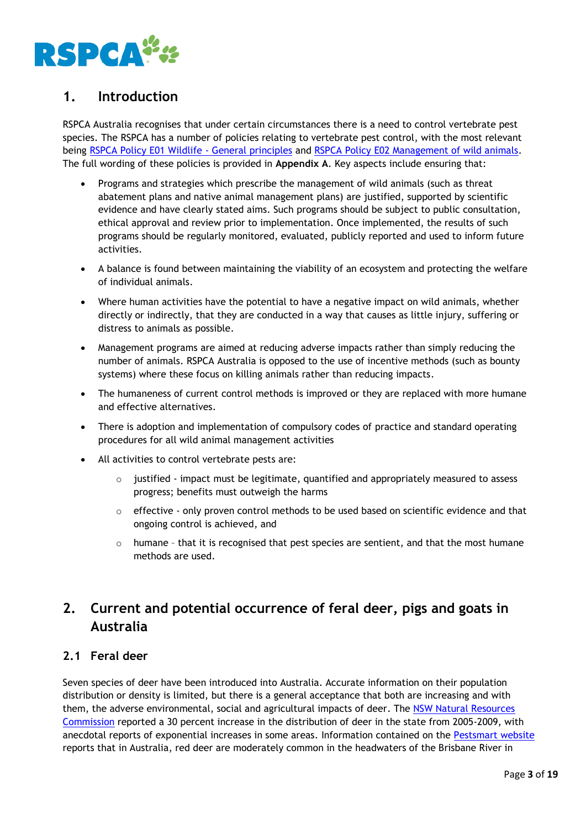

# <span id="page-3-0"></span>**1. Introduction**

RSPCA Australia recognises that under certain circumstances there is a need to control vertebrate pest species. The RSPCA has a number of policies relating to vertebrate pest control, with the most relevant being [RSPCA Policy E01 Wildlife -](https://kb.rspca.org.au/rspca-policy-e01-wildlife-general-principles_421.html) General principles and [RSPCA Policy E02 Management of wild animals.](https://kb.rspca.org.au/rspca-policy-e02-management-of-wild-animals_422.html) The full wording of these policies is provided in **Appendix A**. Key aspects include ensuring that:

- Programs and strategies which prescribe the management of wild animals (such as threat abatement plans and native animal management plans) are justified, supported by scientific evidence and have clearly stated aims. Such programs should be subject to public consultation, ethical approval and review prior to implementation. Once implemented, the results of such programs should be regularly monitored, evaluated, publicly reported and used to inform future activities.
- A balance is found between maintaining the viability of an ecosystem and protecting the welfare of individual animals.
- Where human activities have the potential to have a negative impact on wild animals, whether directly or indirectly, that they are conducted in a way that causes as little injury, suffering or distress to animals as possible.
- Management programs are aimed at reducing adverse impacts rather than simply reducing the number of animals. RSPCA Australia is opposed to the use of incentive methods (such as bounty systems) where these focus on killing animals rather than reducing impacts.
- The humaneness of current control methods is improved or they are replaced with more humane and effective alternatives.
- There is adoption and implementation of compulsory codes of practice and standard operating procedures for all wild animal management activities
- All activities to control vertebrate pests are:
	- o justified impact must be legitimate, quantified and appropriately measured to assess progress; benefits must outweigh the harms
	- $\circ$  effective only proven control methods to be used based on scientific evidence and that ongoing control is achieved, and
	- o humane that it is recognised that pest species are sentient, and that the most humane methods are used.

# <span id="page-3-1"></span>**2. Current and potential occurrence of feral deer, pigs and goats in Australia**

# <span id="page-3-2"></span>**2.1 Feral deer**

Seven species of deer have been introduced into Australia. Accurate information on their population distribution or density is limited, but there is a general acceptance that both are increasing and with them, the adverse environmental, social and agricultural impacts of deer. The [NSW Natural Resources](http://www.nrc.nsw.gov.au/_literature_229072/Final%20report)  [Commission](http://www.nrc.nsw.gov.au/_literature_229072/Final%20report) reported a 30 percent increase in the distribution of deer in the state from 2005-2009, with anecdotal reports of exponential increases in some areas. Information contained on the [Pestsmart website](https://www.pestsmart.org.au/pest-animal-species/deer/) reports that in Australia, red deer are moderately common in the headwaters of the Brisbane River in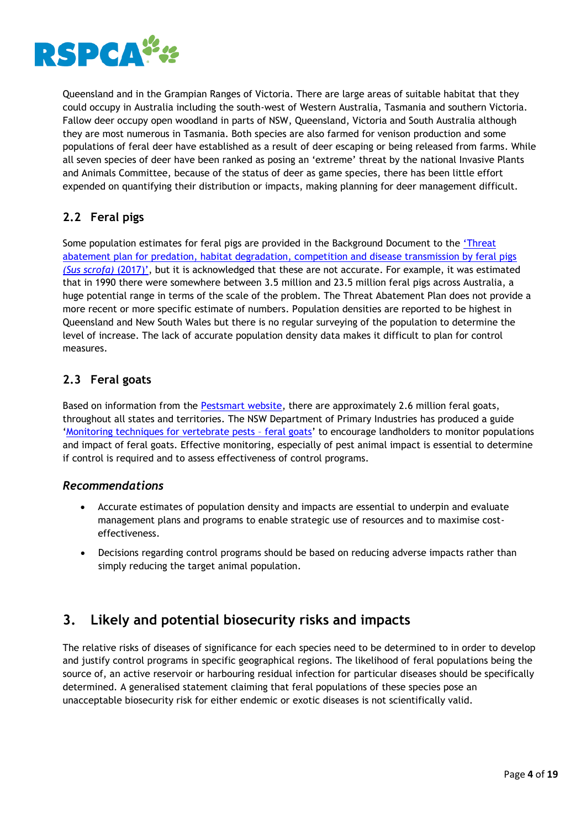

Queensland and in the Grampian Ranges of Victoria. There are large areas of suitable habitat that they could occupy in Australia including the south-west of Western Australia, Tasmania and southern Victoria. Fallow deer occupy open woodland in parts of NSW, Queensland, Victoria and South Australia although they are most numerous in Tasmania. Both species are also farmed for venison production and some populations of feral deer have established as a result of deer escaping or being released from farms. While all seven species of deer have been ranked as posing an 'extreme' threat by the national Invasive Plants and Animals Committee, because of the status of deer as game species, there has been little effort expended on quantifying their distribution or impacts, making planning for deer management difficult.

# <span id="page-4-0"></span>**2.2 Feral pigs**

Some population estimates for feral pigs are provided in the Background Document to the 'Threat abatement plan for predation, habitat degradation, competition and disease transmission by feral pigs *(Sus scrofa)* (2017)', but it is acknowledged that these are not accurate. For example, it was estimated that in 1990 there were somewhere between 3.5 million and 23.5 million feral pigs across Australia, a huge potential range in terms of the scale of the problem. The Threat Abatement Plan does not provide a more recent or more specific estimate of numbers. Population densities are reported to be highest in Queensland and New South Wales but there is no regular surveying of the population to determine the level of increase. The lack of accurate population density data makes it difficult to plan for control measures.

# <span id="page-4-1"></span>**2.3 Feral goats**

Based on information from the [Pestsmart website,](https://www.pestsmart.org.au/managing-vertebrate-pests-feral-goats/) there are approximately 2.6 million feral goats, throughout all states and territories. The NSW Department of Primary Industries has produced a guide '[Monitoring techniques for vertebrate pests](https://www.pestsmart.org.au/wp-content/uploads/2010/03/Monitoring-techniques-for-vertebrate-pests---goats.pdf) – feral goats' to encourage landholders to monitor populations and impact of feral goats. Effective monitoring, especially of pest animal impact is essential to determine if control is required and to assess effectiveness of control programs.

# *Recommendations*

- Accurate estimates of population density and impacts are essential to underpin and evaluate management plans and programs to enable strategic use of resources and to maximise costeffectiveness.
- Decisions regarding control programs should be based on reducing adverse impacts rather than simply reducing the target animal population.

# <span id="page-4-2"></span>**3. Likely and potential biosecurity risks and impacts**

The relative risks of diseases of significance for each species need to be determined to in order to develop and justify control programs in specific geographical regions. The likelihood of feral populations being the source of, an active reservoir or harbouring residual infection for particular diseases should be specifically determined. A generalised statement claiming that feral populations of these species pose an unacceptable biosecurity risk for either endemic or exotic diseases is not scientifically valid.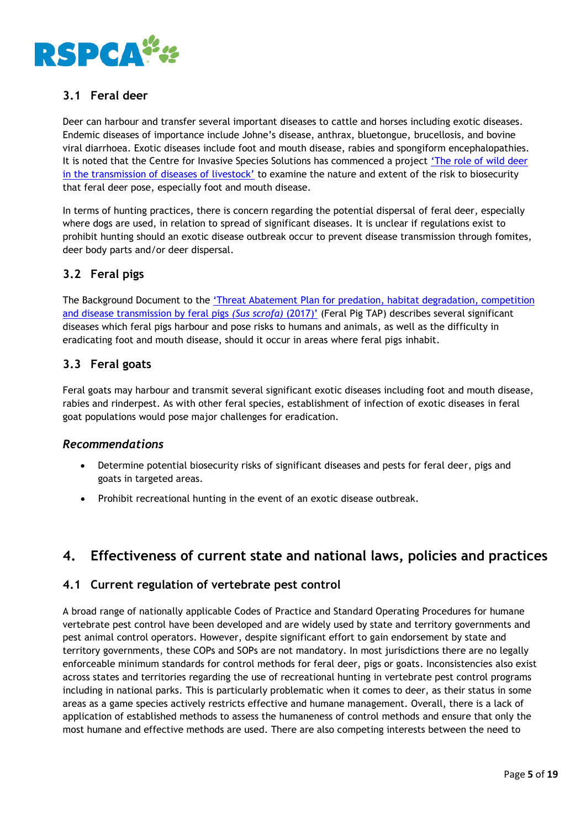

# <span id="page-5-0"></span>**3.1 Feral deer**

Deer can harbour and transfer several important diseases to cattle and horses including exotic diseases. Endemic diseases of importance include Johne's disease, anthrax, bluetongue, brucellosis, and bovine viral diarrhoea. Exotic diseases include foot and mouth disease, rabies and spongiform encephalopathies. It is noted that the Centre for Invasive Species Solutions has commenced a project ['The role of wild deer](https://invasives.com.au/research/role-wild-deer-transmission-diseases-livestock/)  [in the transmission of diseases of livestock'](https://invasives.com.au/research/role-wild-deer-transmission-diseases-livestock/) to examine the nature and extent of the risk to biosecurity that feral deer pose, especially foot and mouth disease.

In terms of hunting practices, there is concern regarding the potential dispersal of feral deer, especially where dogs are used, in relation to spread of significant diseases. It is unclear if regulations exist to prohibit hunting should an exotic disease outbreak occur to prevent disease transmission through fomites, deer body parts and/or deer dispersal.

# <span id="page-5-1"></span>**3.2 Feral pigs**

The Background Document to the '[Threat Abatement Plan for predation, habitat degradation, competition](http://www.environment.gov.au/system/files/resources/b022ba00-ceb9-4d0b-9b9a-54f9700e7ec9/files/tap-feral-pigs-2017-background-document.pdf)  [and disease transmission by feral pigs](http://www.environment.gov.au/system/files/resources/b022ba00-ceb9-4d0b-9b9a-54f9700e7ec9/files/tap-feral-pigs-2017-background-document.pdf) *(Sus scrofa)* (2017)' (Feral Pig TAP) describes several significant diseases which feral pigs harbour and pose risks to humans and animals, as well as the difficulty in eradicating foot and mouth disease, should it occur in areas where feral pigs inhabit.

# <span id="page-5-2"></span>**3.3 Feral goats**

Feral goats may harbour and transmit several significant exotic diseases including foot and mouth disease, rabies and rinderpest. As with other feral species, establishment of infection of exotic diseases in feral goat populations would pose major challenges for eradication.

# *Recommendations*

- Determine potential biosecurity risks of significant diseases and pests for feral deer, pigs and goats in targeted areas.
- Prohibit recreational hunting in the event of an exotic disease outbreak.

# <span id="page-5-3"></span>**4. Effectiveness of current state and national laws, policies and practices**

# <span id="page-5-4"></span>**4.1 Current regulation of vertebrate pest control**

A broad range of nationally applicable Codes of Practice and Standard Operating Procedures for humane vertebrate pest control have been developed and are widely used by state and territory governments and pest animal control operators. However, despite significant effort to gain endorsement by state and territory governments, these COPs and SOPs are not mandatory. In most jurisdictions there are no legally enforceable minimum standards for control methods for feral deer, pigs or goats. Inconsistencies also exist across states and territories regarding the use of recreational hunting in vertebrate pest control programs including in national parks. This is particularly problematic when it comes to deer, as their status in some areas as a game species actively restricts effective and humane management. Overall, there is a lack of application of established methods to assess the humaneness of control methods and ensure that only the most humane and effective methods are used. There are also competing interests between the need to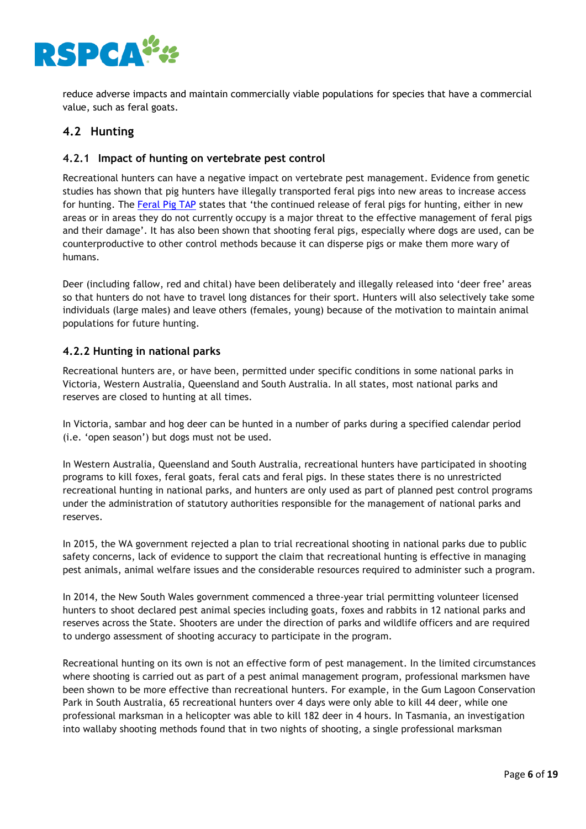

reduce adverse impacts and maintain commercially viable populations for species that have a commercial value, such as feral goats.

# <span id="page-6-0"></span>**4.2 Hunting**

# **4.2.1 Impact of hunting on vertebrate pest control**

Recreational hunters can have a negative impact on vertebrate pest management. Evidence from genetic studies has shown that pig hunters have illegally transported feral pigs into new areas to increase access for hunting. The Feral Pig TAP states that 'the continued release of feral pigs for hunting, either in new areas or in areas they do not currently occupy is a major threat to the effective management of feral pigs and their damage'. It has also been shown that shooting feral pigs, especially where dogs are used, can be counterproductive to other control methods because it can disperse pigs or make them more wary of humans.

Deer (including fallow, red and chital) have been deliberately and illegally released into 'deer free' areas so that hunters do not have to travel long distances for their sport. Hunters will also selectively take some individuals (large males) and leave others (females, young) because of the motivation to maintain animal populations for future hunting.

#### **4.2.2 Hunting in national parks**

Recreational hunters are, or have been, permitted under specific conditions in some national parks in Victoria, Western Australia, Queensland and South Australia. In all states, most national parks and reserves are closed to hunting at all times.

In Victoria, sambar and hog deer can be hunted in a number of parks during a specified calendar period (i.e. 'open season') but dogs must not be used.

In Western Australia, Queensland and South Australia, recreational hunters have participated in shooting programs to kill foxes, feral goats, feral cats and feral pigs. In these states there is no unrestricted recreational hunting in national parks, and hunters are only used as part of planned pest control programs under the administration of statutory authorities responsible for the management of national parks and reserves.

In 2015, the WA government rejected a plan to trial recreational shooting in national parks due to public safety concerns, lack of evidence to support the claim that recreational hunting is effective in managing pest animals, animal welfare issues and the considerable resources required to administer such a program.

In 2014, the New South Wales government commenced a three-year trial permitting volunteer licensed hunters to shoot declared pest animal species including goats, foxes and rabbits in 12 national parks and reserves across the State. Shooters are under the direction of parks and wildlife officers and are required to undergo assessment of shooting accuracy to participate in the program.

Recreational hunting on its own is not an effective form of pest management. In the limited circumstances where shooting is carried out as part of a pest animal management program, professional marksmen have been shown to be more effective than recreational hunters. For example, in the Gum Lagoon Conservation Park in South Australia, 65 recreational hunters over 4 days were only able to kill 44 deer, while one professional marksman in a helicopter was able to kill 182 deer in 4 hours. In Tasmania, an investigation into wallaby shooting methods found that in two nights of shooting, a single professional marksman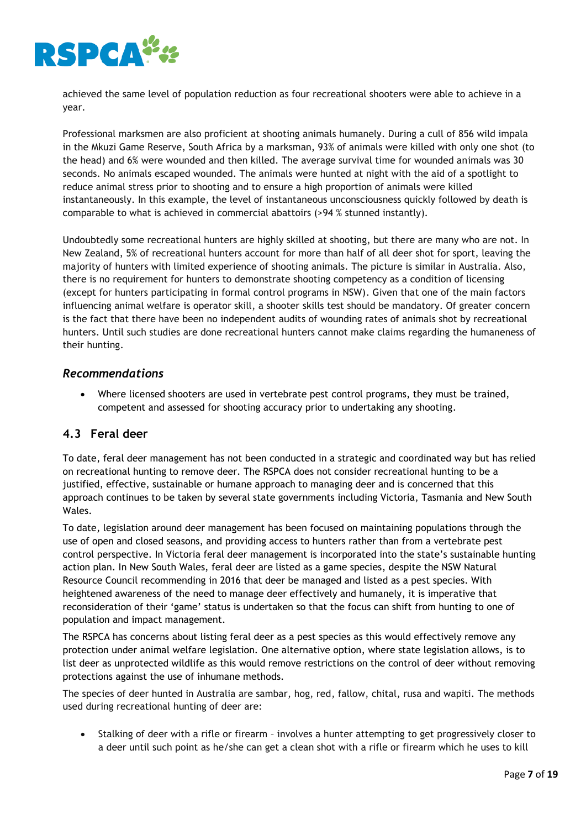

achieved the same level of population reduction as four recreational shooters were able to achieve in a year.

Professional marksmen are also proficient at shooting animals humanely. During a cull of 856 wild impala in the Mkuzi Game Reserve, South Africa by a marksman, 93% of animals were killed with only one shot (to the head) and 6% were wounded and then killed. The average survival time for wounded animals was 30 seconds. No animals escaped wounded. The animals were hunted at night with the aid of a spotlight to reduce animal stress prior to shooting and to ensure a high proportion of animals were killed instantaneously. In this example, the level of instantaneous unconsciousness quickly followed by death is comparable to what is achieved in commercial abattoirs (>94 % stunned instantly).

Undoubtedly some recreational hunters are highly skilled at shooting, but there are many who are not. In New Zealand, 5% of recreational hunters account for more than half of all deer shot for sport, leaving the majority of hunters with limited experience of shooting animals. The picture is similar in Australia. Also, there is no requirement for hunters to demonstrate shooting competency as a condition of licensing (except for hunters participating in formal control programs in NSW). Given that one of the main factors influencing animal welfare is operator skill, a shooter skills test should be mandatory. Of greater concern is the fact that there have been no independent audits of wounding rates of animals shot by recreational hunters. Until such studies are done recreational hunters cannot make claims regarding the humaneness of their hunting.

# *Recommendations*

 Where licensed shooters are used in vertebrate pest control programs, they must be trained, competent and assessed for shooting accuracy prior to undertaking any shooting.

# <span id="page-7-0"></span>**4.3 Feral deer**

To date, feral deer management has not been conducted in a strategic and coordinated way but has relied on recreational hunting to remove deer. The RSPCA does not consider recreational hunting to be a justified, effective, sustainable or humane approach to managing deer and is concerned that this approach continues to be taken by several state governments including Victoria, Tasmania and New South Wales.

To date, legislation around deer management has been focused on maintaining populations through the use of open and closed seasons, and providing access to hunters rather than from a vertebrate pest control perspective. In Victoria feral deer management is incorporated into the state's sustainable hunting action plan. In New South Wales, feral deer are listed as a game species, despite the NSW Natural Resource Council recommending in 2016 that deer be managed and listed as a pest species. With heightened awareness of the need to manage deer effectively and humanely, it is imperative that reconsideration of their 'game' status is undertaken so that the focus can shift from hunting to one of population and impact management.

The RSPCA has concerns about listing feral deer as a pest species as this would effectively remove any protection under animal welfare legislation. One alternative option, where state legislation allows, is to list deer as unprotected wildlife as this would remove restrictions on the control of deer without removing protections against the use of inhumane methods.

The species of deer hunted in Australia are sambar, hog, red, fallow, chital, rusa and wapiti. The methods used during recreational hunting of deer are:

 Stalking of deer with a rifle or firearm – involves a hunter attempting to get progressively closer to a deer until such point as he/she can get a clean shot with a rifle or firearm which he uses to kill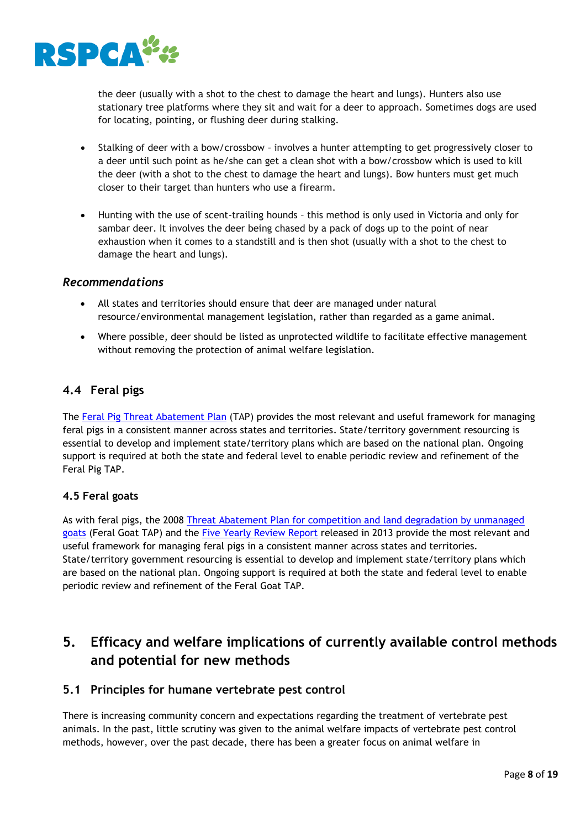

the deer (usually with a shot to the chest to damage the heart and lungs). Hunters also use stationary tree platforms where they sit and wait for a deer to approach. Sometimes dogs are used for locating, pointing, or flushing deer during stalking.

- Stalking of deer with a bow/crossbow involves a hunter attempting to get progressively closer to a deer until such point as he/she can get a clean shot with a bow/crossbow which is used to kill the deer (with a shot to the chest to damage the heart and lungs). Bow hunters must get much closer to their target than hunters who use a firearm.
- Hunting with the use of scent-trailing hounds this method is only used in Victoria and only for sambar deer. It involves the deer being chased by a pack of dogs up to the point of near exhaustion when it comes to a standstill and is then shot (usually with a shot to the chest to damage the heart and lungs).

# *Recommendations*

- All states and territories should ensure that deer are managed under natural resource/environmental management legislation, rather than regarded as a game animal.
- Where possible, deer should be listed as unprotected wildlife to facilitate effective management without removing the protection of animal welfare legislation.

# <span id="page-8-0"></span>**4.4 Feral pigs**

The Feral Pig Threat Abatement Plan (TAP) provides the most relevant and useful framework for managing feral pigs in a consistent manner across states and territories. State/territory government resourcing is essential to develop and implement state/territory plans which are based on the national plan. Ongoing support is required at both the state and federal level to enable periodic review and refinement of the Feral Pig TAP.

#### **4.5 Feral goats**

As with feral pigs, the 2008 Threat Abatement Plan for competition and land degradation by unmanaged goats (Feral Goat TAP) and the [Five Yearly Review Report](http://environment.gov.au/system/files/resources/2109c235-4e01-49f6-90d0-26e6cb58ff0b/files/tap-review-unmanaged-goats.pdf) released in 2013 provide the most relevant and useful framework for managing feral pigs in a consistent manner across states and territories. State/territory government resourcing is essential to develop and implement state/territory plans which are based on the national plan. Ongoing support is required at both the state and federal level to enable periodic review and refinement of the Feral Goat TAP.

# <span id="page-8-1"></span>**5. Efficacy and welfare implications of currently available control methods and potential for new methods**

# <span id="page-8-2"></span>**5.1 Principles for humane vertebrate pest control**

There is increasing community concern and expectations regarding the treatment of vertebrate pest animals. In the past, little scrutiny was given to the animal welfare impacts of vertebrate pest control methods, however, over the past decade, there has been a greater focus on animal welfare in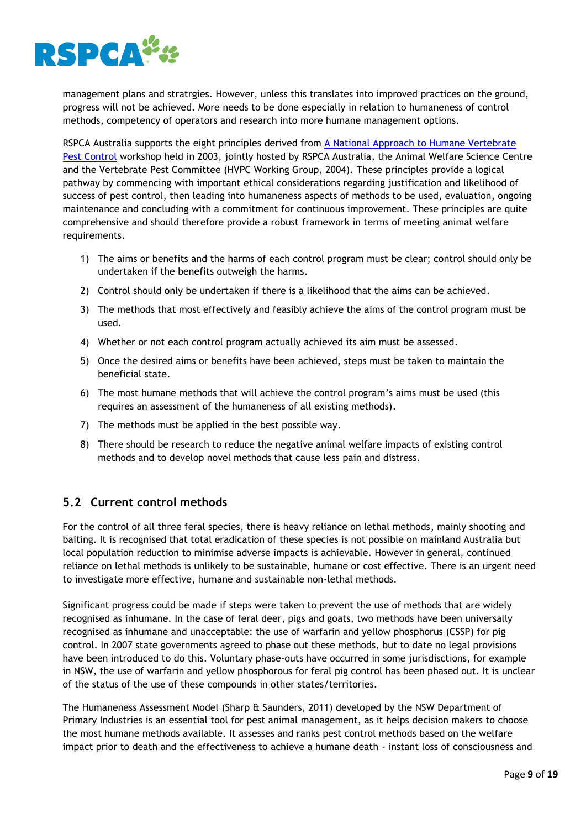

management plans and stratrgies. However, unless this translates into improved practices on the ground, progress will not be achieved. More needs to be done especially in relation to humaneness of control methods, competency of operators and research into more humane management options.

RSPCA Australia supports the eight principles derived from A National Approach to Humane Vertebrate [Pest Control](https://www.rspca.org.au/sites/default/files/website/The-facts/Science/Scientific-Seminar/2003/SciSem2003-DiscussionPaper.pdf) workshop held in 2003, jointly hosted by RSPCA Australia, the Animal Welfare Science Centre and the Vertebrate Pest Committee (HVPC Working Group, 2004). These principles provide a logical pathway by commencing with important ethical considerations regarding justification and likelihood of success of pest control, then leading into humaneness aspects of methods to be used, evaluation, ongoing maintenance and concluding with a commitment for continuous improvement. These principles are quite comprehensive and should therefore provide a robust framework in terms of meeting animal welfare requirements.

- 1) The aims or benefits and the harms of each control program must be clear; control should only be undertaken if the benefits outweigh the harms.
- 2) Control should only be undertaken if there is a likelihood that the aims can be achieved.
- 3) The methods that most effectively and feasibly achieve the aims of the control program must be used.
- 4) Whether or not each control program actually achieved its aim must be assessed.
- 5) Once the desired aims or benefits have been achieved, steps must be taken to maintain the beneficial state.
- 6) The most humane methods that will achieve the control program's aims must be used (this requires an assessment of the humaneness of all existing methods).
- 7) The methods must be applied in the best possible way.
- 8) There should be research to reduce the negative animal welfare impacts of existing control methods and to develop novel methods that cause less pain and distress.

# <span id="page-9-0"></span>**5.2 Current control methods**

For the control of all three feral species, there is heavy reliance on lethal methods, mainly shooting and baiting. It is recognised that total eradication of these species is not possible on mainland Australia but local population reduction to minimise adverse impacts is achievable. However in general, continued reliance on lethal methods is unlikely to be sustainable, humane or cost effective. There is an urgent need to investigate more effective, humane and sustainable non-lethal methods.

Significant progress could be made if steps were taken to prevent the use of methods that are widely recognised as inhumane. In the case of feral deer, pigs and goats, two methods have been universally recognised as inhumane and unacceptable: the use of warfarin and yellow phosphorus (CSSP) for pig control. In 2007 state governments agreed to phase out these methods, but to date no legal provisions have been introduced to do this. Voluntary phase-outs have occurred in some jurisdisctions, for example in NSW, the use of warfarin and yellow phosphorous for feral pig control has been phased out. It is unclear of the status of the use of these compounds in other states/territories.

The Humaneness Assessment Model (Sharp & Saunders, 2011) developed by the NSW Department of Primary Industries is an essential tool for pest animal management, as it helps decision makers to choose the most humane methods available. It assesses and ranks pest control methods based on the welfare impact prior to death and the effectiveness to achieve a humane death - instant loss of consciousness and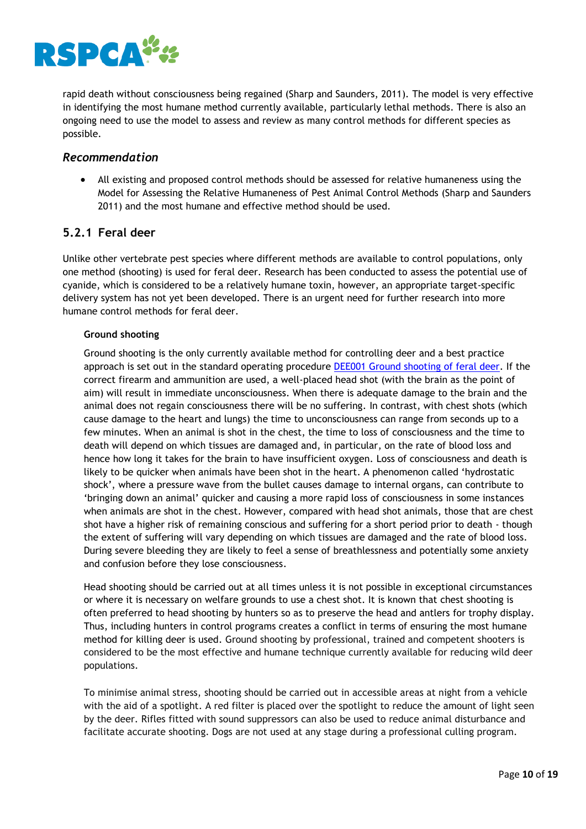

rapid death without consciousness being regained (Sharp and Saunders, 2011). The model is very effective in identifying the most humane method currently available, particularly lethal methods. There is also an ongoing need to use the model to assess and review as many control methods for different species as possible.

# *Recommendation*

 All existing and proposed control methods should be assessed for relative humaneness using the Model for Assessing the Relative Humaneness of Pest Animal Control Methods (Sharp and Saunders 2011) and the most humane and effective method should be used.

# <span id="page-10-0"></span>**5.2.1 Feral deer**

Unlike other vertebrate pest species where different methods are available to control populations, only one method (shooting) is used for feral deer. Research has been conducted to assess the potential use of cyanide, which is considered to be a relatively humane toxin, however, an appropriate target-specific delivery system has not yet been developed. There is an urgent need for further research into more humane control methods for feral deer.

#### **Ground shooting**

Ground shooting is the only currently available method for controlling deer and a best practice approach is set out in the standard operating procedure [DEE001 Ground shooting of feral deer.](https://www.pestsmart.org.au/wp-content/uploads/2018/01/180111_SOP_DEE001_web-1.pdf#page=1&zoom=auto,-77,842) If the correct firearm and ammunition are used, a well-placed head shot (with the brain as the point of aim) will result in immediate unconsciousness. When there is adequate damage to the brain and the animal does not regain consciousness there will be no suffering. In contrast, with chest shots (which cause damage to the heart and lungs) the time to unconsciousness can range from seconds up to a few minutes. When an animal is shot in the chest, the time to loss of consciousness and the time to death will depend on which tissues are damaged and, in particular, on the rate of blood loss and hence how long it takes for the brain to have insufficient oxygen. Loss of consciousness and death is likely to be quicker when animals have been shot in the heart. A phenomenon called 'hydrostatic shock', where a pressure wave from the bullet causes damage to internal organs, can contribute to 'bringing down an animal' quicker and causing a more rapid loss of consciousness in some instances when animals are shot in the chest. However, compared with head shot animals, those that are chest shot have a higher risk of remaining conscious and suffering for a short period prior to death - though the extent of suffering will vary depending on which tissues are damaged and the rate of blood loss. During severe bleeding they are likely to feel a sense of breathlessness and potentially some anxiety and confusion before they lose consciousness.

Head shooting should be carried out at all times unless it is not possible in exceptional circumstances or where it is necessary on welfare grounds to use a chest shot. It is known that chest shooting is often preferred to head shooting by hunters so as to preserve the head and antlers for trophy display. Thus, including hunters in control programs creates a conflict in terms of ensuring the most humane method for killing deer is used. Ground shooting by professional, trained and competent shooters is considered to be the most effective and humane technique currently available for reducing wild deer populations.

To minimise animal stress, shooting should be carried out in accessible areas at night from a vehicle with the aid of a spotlight. A red filter is placed over the spotlight to reduce the amount of light seen by the deer. Rifles fitted with sound suppressors can also be used to reduce animal disturbance and facilitate accurate shooting. Dogs are not used at any stage during a professional culling program.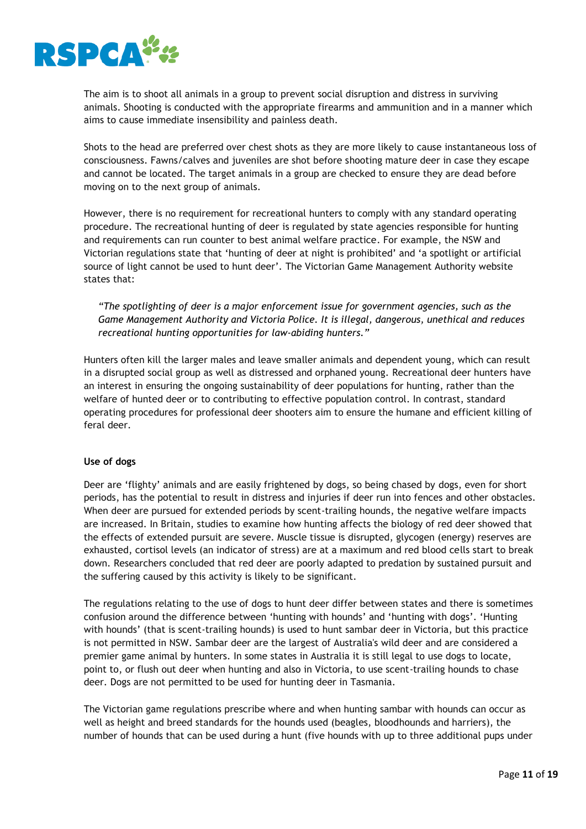

The aim is to shoot all animals in a group to prevent social disruption and distress in surviving animals. Shooting is conducted with the appropriate firearms and ammunition and in a manner which aims to cause immediate insensibility and painless death.

Shots to the head are preferred over chest shots as they are more likely to cause instantaneous loss of consciousness. Fawns/calves and juveniles are shot before shooting mature deer in case they escape and cannot be located. The target animals in a group are checked to ensure they are dead before moving on to the next group of animals.

However, there is no requirement for recreational hunters to comply with any standard operating procedure. The recreational hunting of deer is regulated by state agencies responsible for hunting and requirements can run counter to best animal welfare practice. For example, the NSW and Victorian regulations state that 'hunting of deer at night is prohibited' and 'a spotlight or artificial source of light cannot be used to hunt deer'. The Victorian Game Management Authority website states that:

*"The spotlighting of deer is a major enforcement issue for government agencies, such as the Game Management Authority and Victoria Police. It is illegal, dangerous, unethical and reduces recreational hunting opportunities for law-abiding hunters."*

Hunters often kill the larger males and leave smaller animals and dependent young, which can result in a disrupted social group as well as distressed and orphaned young. Recreational deer hunters have an interest in ensuring the ongoing sustainability of deer populations for hunting, rather than the welfare of hunted deer or to contributing to effective population control. In contrast, standard operating procedures for professional deer shooters aim to ensure the humane and efficient killing of feral deer.

#### **Use of dogs**

Deer are 'flighty' animals and are easily frightened by dogs, so being chased by dogs, even for short periods, has the potential to result in distress and injuries if deer run into fences and other obstacles. When deer are pursued for extended periods by scent-trailing hounds, the negative welfare impacts are increased. In Britain, studies to examine how hunting affects the biology of red deer showed that the effects of extended pursuit are severe. Muscle tissue is disrupted, glycogen (energy) reserves are exhausted, cortisol levels (an indicator of stress) are at a maximum and red blood cells start to break down. Researchers concluded that red deer are poorly adapted to predation by sustained pursuit and the suffering caused by this activity is likely to be significant.

The regulations relating to the use of dogs to hunt deer differ between states and there is sometimes confusion around the difference between 'hunting with hounds' and 'hunting with dogs'. 'Hunting with hounds' (that is scent-trailing hounds) is used to hunt sambar deer in Victoria, but this practice is not permitted in NSW. Sambar deer are the largest of Australia's wild deer and are considered a premier game animal by hunters. In some states in Australia it is still legal to use dogs to locate, point to, or flush out deer when hunting and also in Victoria, to use scent-trailing hounds to chase deer. Dogs are not permitted to be used for hunting deer in Tasmania.

The Victorian game regulations prescribe where and when hunting sambar with hounds can occur as well as height and breed standards for the hounds used (beagles, bloodhounds and harriers), the number of hounds that can be used during a hunt (five hounds with up to three additional pups under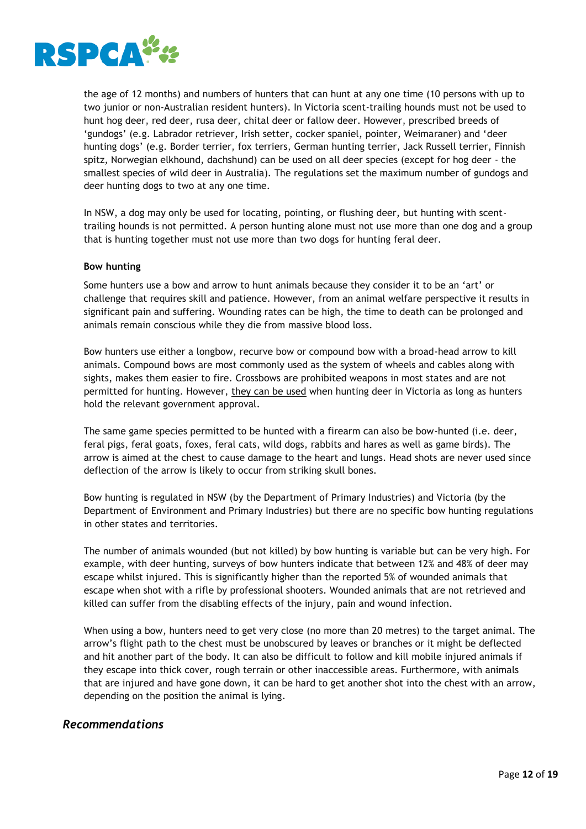

the age of 12 months) and numbers of hunters that can hunt at any one time (10 persons with up to two junior or non-Australian resident hunters). In Victoria scent-trailing hounds must not be used to hunt hog deer, red deer, rusa deer, chital deer or fallow deer. However, prescribed breeds of 'gundogs' (e.g. Labrador retriever, Irish setter, cocker spaniel, pointer, Weimaraner) and 'deer hunting dogs' (e.g. Border terrier, fox terriers, German hunting terrier, Jack Russell terrier, Finnish spitz, Norwegian elkhound, dachshund) can be used on all deer species (except for hog deer - the smallest species of wild deer in Australia). The regulations set the maximum number of gundogs and deer hunting dogs to two at any one time.

In NSW, a dog may only be used for locating, pointing, or flushing deer, but hunting with scenttrailing hounds is not permitted. A person hunting alone must not use more than one dog and a group that is hunting together must not use more than two dogs for hunting feral deer.

#### **Bow hunting**

Some hunters use a bow and arrow to hunt animals because they consider it to be an 'art' or challenge that requires skill and patience. However, from an animal welfare perspective it results in significant pain and suffering. Wounding rates can be high, the time to death can be prolonged and animals remain conscious while they die from massive blood loss.

Bow hunters use either a longbow, recurve bow or compound bow with a broad-head arrow to kill animals. Compound bows are most commonly used as the system of wheels and cables along with sights, makes them easier to fire. Crossbows are prohibited weapons in most states and are not permitted for hunting. However, they can be used when hunting deer in Victoria as long as hunters hold the relevant government approval.

The same game species permitted to be hunted with a firearm can also be bow-hunted (i.e. deer, feral pigs, feral goats, foxes, feral cats, wild dogs, rabbits and hares as well as game birds). The arrow is aimed at the chest to cause damage to the heart and lungs. Head shots are never used since deflection of the arrow is likely to occur from striking skull bones.

Bow hunting is regulated in NSW (by the Department of Primary Industries) and Victoria (by the Department of Environment and Primary Industries) but there are no specific bow hunting regulations in other states and territories.

The number of animals wounded (but not killed) by bow hunting is variable but can be very high. For example, with deer hunting, surveys of bow hunters indicate that between 12% and 48% of deer may escape whilst injured. This is significantly higher than the reported 5% of wounded animals that escape when shot with a rifle by professional shooters. Wounded animals that are not retrieved and killed can suffer from the disabling effects of the injury, pain and wound infection.

When using a bow, hunters need to get very close (no more than 20 metres) to the target animal. The arrow's flight path to the chest must be unobscured by leaves or branches or it might be deflected and hit another part of the body. It can also be difficult to follow and kill mobile injured animals if they escape into thick cover, rough terrain or other inaccessible areas. Furthermore, with animals that are injured and have gone down, it can be hard to get another shot into the chest with an arrow, depending on the position the animal is lying.

# *Recommendations*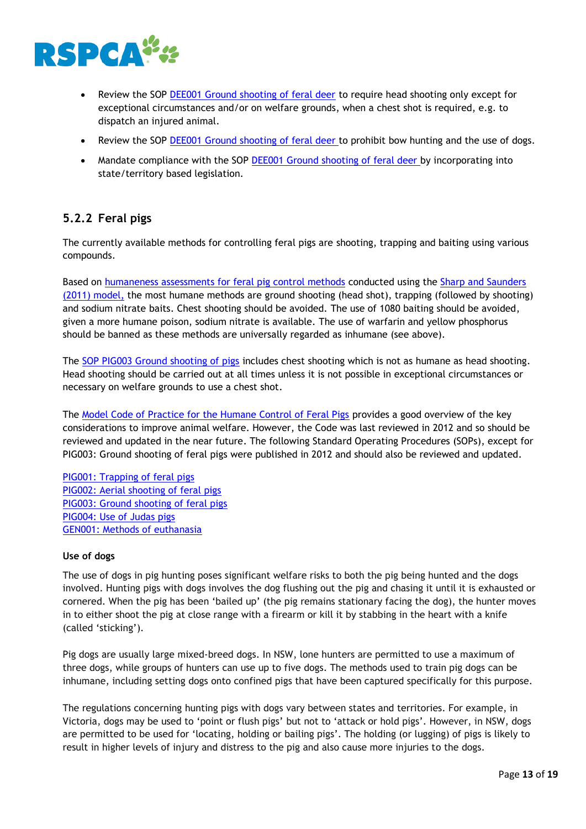

- Review the SOP [DEE001 Ground shooting of feral deer](https://www.pestsmart.org.au/wp-content/uploads/2018/01/180111_SOP_DEE001_web-1.pdf#page=1&zoom=auto,-77,842) to require head shooting only except for exceptional circumstances and/or on welfare grounds, when a chest shot is required, e.g. to dispatch an injured animal.
- Review the SOP [DEE001 Ground shooting of feral deer](https://www.pestsmart.org.au/wp-content/uploads/2018/01/180111_SOP_DEE001_web-1.pdf#page=1&zoom=auto,-77,842) to prohibit bow hunting and the use of dogs.
- Mandate compliance with the SOP [DEE001 Ground shooting of feral deer](https://www.pestsmart.org.au/wp-content/uploads/2018/01/180111_SOP_DEE001_web-1.pdf#page=1&zoom=auto,-77,842) by incorporating into state/territory based legislation.

# <span id="page-13-0"></span>**5.2.2 Feral pigs**

The currently available methods for controlling feral pigs are shooting, trapping and baiting using various compounds.

Based on [humaneness assessments for feral pig control methods](https://www.pestsmart.org.au/animal-welfare/humaneness-assessment/feral-pig/) conducted using the Sharp and Saunders (2011) model, the most humane methods are ground shooting (head shot), trapping (followed by shooting) and sodium nitrate baits. Chest shooting should be avoided. The use of 1080 baiting should be avoided, given a more humane poison, sodium nitrate is available. The use of warfarin and yellow phosphorus should be banned as these methods are universally regarded as inhumane (see above).

The SOP PIG003 Ground shooting of pigs includes chest shooting which is not as humane as head shooting. Head shooting should be carried out at all times unless it is not possible in exceptional circumstances or necessary on welfare grounds to use a chest shot.

The [Model Code of Practice for the Humane Control of Feral Pigs](https://www.pestsmart.org.au/model-code-of-practice-for-the-humane-control-of-feral-pigs/) provides a good overview of the key considerations to improve animal welfare. However, the Code was last reviewed in 2012 and so should be reviewed and updated in the near future. The following Standard Operating Procedures (SOPs), except for PIG003: Ground shooting of feral pigs were published in 2012 and should also be reviewed and updated.

[PIG001: Trapping of feral pigs](https://www.pestsmart.org.au/trapping-of-feral-pigs/) [PIG002: Aerial shooting of feral pigs](https://www.pestsmart.org.au/aerial-shooting-of-feral-pigs/) [PIG003: Ground shooting of feral pigs](https://www.pestsmart.org.au/ground-shooting-of-feral-pigs/) [PIG004: Use of Judas pigs](https://www.pestsmart.org.au/use-of-judas-pigs/) [GEN001: Methods of euthanasia](https://www.pestsmart.org.au/methods-of-euthanasia/)

# **Use of dogs**

The use of dogs in pig hunting poses significant welfare risks to both the pig being hunted and the dogs involved. Hunting pigs with dogs involves the dog flushing out the pig and chasing it until it is exhausted or cornered. When the pig has been 'bailed up' (the pig remains stationary facing the dog), the hunter moves in to either shoot the pig at close range with a firearm or kill it by stabbing in the heart with a knife (called 'sticking').

Pig dogs are usually large mixed-breed dogs. In NSW, lone hunters are permitted to use a maximum of three dogs, while groups of hunters can use up to five dogs. The methods used to train pig dogs can be inhumane, including setting dogs onto confined pigs that have been captured specifically for this purpose.

The regulations concerning hunting pigs with dogs vary between states and territories. For example, in Victoria, dogs may be used to 'point or flush pigs' but not to 'attack or hold pigs'. However, in NSW, dogs are permitted to be used for 'locating, holding or bailing pigs'. The holding (or lugging) of pigs is likely to result in higher levels of injury and distress to the pig and also cause more injuries to the dogs.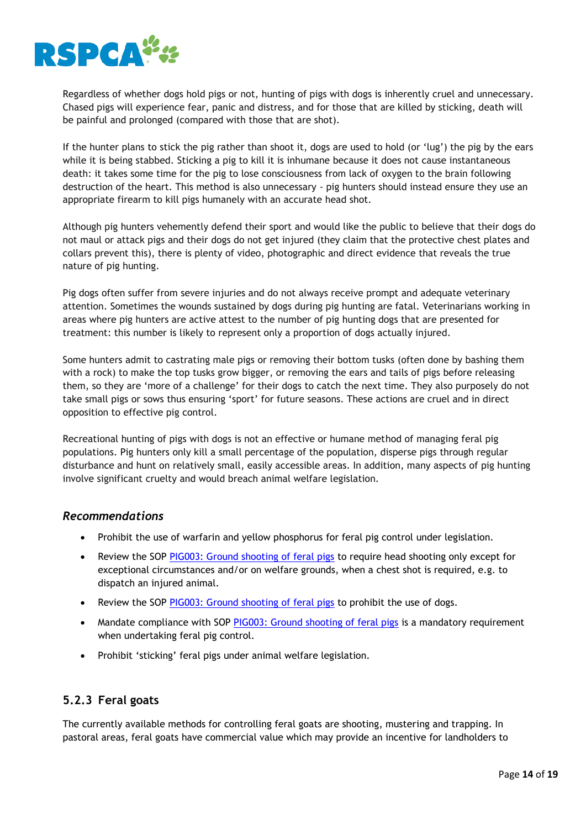

Regardless of whether dogs hold pigs or not, hunting of pigs with dogs is inherently cruel and unnecessary. Chased pigs will experience fear, panic and distress, and for those that are killed by sticking, death will be painful and prolonged (compared with those that are shot).

If the hunter plans to stick the pig rather than shoot it, dogs are used to hold (or 'lug') the pig by the ears while it is being stabbed. Sticking a pig to kill it is inhumane because it does not cause instantaneous death: it takes some time for the pig to lose consciousness from lack of oxygen to the brain following destruction of the heart. This method is also unnecessary - pig hunters should instead ensure they use an appropriate firearm to kill pigs humanely with an accurate head shot.

Although pig hunters vehemently defend their sport and would like the public to believe that their dogs do not maul or attack pigs and their dogs do not get injured (they claim that the protective chest plates and collars prevent this), there is plenty of video, photographic and direct evidence that reveals the true nature of pig hunting.

Pig dogs often suffer from severe injuries and do not always receive prompt and adequate veterinary attention. Sometimes the wounds sustained by dogs during pig hunting are fatal. Veterinarians working in areas where pig hunters are active attest to the number of pig hunting dogs that are presented for treatment: this number is likely to represent only a proportion of dogs actually injured.

Some hunters admit to castrating male pigs or removing their bottom tusks (often done by bashing them with a rock) to make the top tusks grow bigger, or removing the ears and tails of pigs before releasing them, so they are 'more of a challenge' for their dogs to catch the next time. They also purposely do not take small pigs or sows thus ensuring 'sport' for future seasons. These actions are cruel and in direct opposition to effective pig control.

Recreational hunting of pigs with dogs is not an effective or humane method of managing feral pig populations. Pig hunters only kill a small percentage of the population, disperse pigs through regular disturbance and hunt on relatively small, easily accessible areas. In addition, many aspects of pig hunting involve significant cruelty and would breach animal welfare legislation.

# *Recommendations*

- Prohibit the use of warfarin and yellow phosphorus for feral pig control under legislation.
- Review the SOP [PIG003: Ground shooting of feral pigs](https://www.pestsmart.org.au/ground-shooting-of-feral-pigs/) to require head shooting only except for exceptional circumstances and/or on welfare grounds, when a chest shot is required, e.g. to dispatch an injured animal.
- Review the SOP [PIG003: Ground shooting of feral pigs](https://www.pestsmart.org.au/ground-shooting-of-feral-pigs/) to prohibit the use of dogs.
- Mandate compliance with SOP [PIG003: Ground shooting of feral pigs](https://www.pestsmart.org.au/ground-shooting-of-feral-pigs/) is a mandatory requirement when undertaking feral pig control.
- Prohibit 'sticking' feral pigs under animal welfare legislation.

# <span id="page-14-0"></span>**5.2.3 Feral goats**

The currently available methods for controlling feral goats are shooting, mustering and trapping. In pastoral areas, feral goats have commercial value which may provide an incentive for landholders to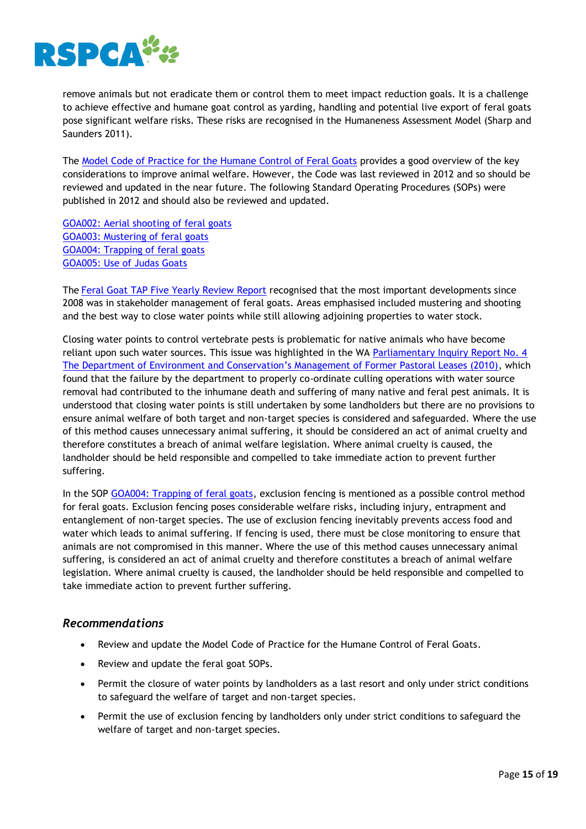

remove animals but not eradicate them or control them to meet impact reduction goals. It is a challenge to achieve effective and humane goat control as yarding, handling and potential live export of feral goats pose significant welfare risks. These risks are recognised in the Humaneness Assessment Model (Sharp and Saunders 2011).

The [Model Code of Practice for the Humane Control of Feral Goats](https://www.pestsmart.org.au/model-code-of-practice-for-the-humane-control-of-feral-goats/) provides a good overview of the key considerations to improve animal welfare. However, the Code was last reviewed in 2012 and so should be reviewed and updated in the near future. The following Standard Operating Procedures (SOPs) were published in 2012 and should also be reviewed and updated.

[GOA002: Aerial shooting of feral goats](https://www.pestsmart.org.au/aerial-shooting-of-feral-goats/) [GOA003: Mustering of feral goats](https://www.pestsmart.org.au/mustering-of-feral-goats/) [GOA004: Trapping of feral goats](https://www.pestsmart.org.au/trapping-of-feral-goats/) [GOA005: Use of Judas Goats](https://www.pestsmart.org.au/use-of-judas-goats/)

The [Feral Goat TAP Five Yearly Review Report](http://environment.gov.au/system/files/resources/2109c235-4e01-49f6-90d0-26e6cb58ff0b/files/tap-review-unmanaged-goats.pdf) recognised that the most important developments since 2008 was in stakeholder management of feral goats. Areas emphasised included mustering and shooting and the best way to close water points while still allowing adjoining properties to water stock.

Closing water points to control vertebrate pests is problematic for native animals who have become reliant upon such water sources. This issue was highlighted in the WA Parliamentary Inquiry Report No. 4 [The Department of Environment and Conservation's Management of Former Pastoral Leases \(2010\)](http://www.parliament.wa.gov.au/Parliament/commit.nsf/(Report+Lookup+by+Com+ID)/45CB570C023B7C16482578310040D291/$file/55542813.pdf), which found that the failure by the department to properly co-ordinate culling operations with water source removal had contributed to the inhumane death and suffering of many native and feral pest animals. It is understood that closing water points is still undertaken by some landholders but there are no provisions to ensure animal welfare of both target and non-target species is considered and safeguarded. Where the use of this method causes unnecessary animal suffering, it should be considered an act of animal cruelty and therefore constitutes a breach of animal welfare legislation. Where animal cruelty is caused, the landholder should be held responsible and compelled to take immediate action to prevent further suffering.

In the SOP [GOA004: Trapping of feral goats,](https://www.pestsmart.org.au/trapping-of-feral-goats/) exclusion fencing is mentioned as a possible control method for feral goats. Exclusion fencing poses considerable welfare risks, including injury, entrapment and entanglement of non-target species. The use of exclusion fencing inevitably prevents access food and water which leads to animal suffering. If fencing is used, there must be close monitoring to ensure that animals are not compromised in this manner. Where the use of this method causes unnecessary animal suffering, is considered an act of animal cruelty and therefore constitutes a breach of animal welfare legislation. Where animal cruelty is caused, the landholder should be held responsible and compelled to take immediate action to prevent further suffering.

# *Recommendations*

- Review and update the Model Code of Practice for the Humane Control of Feral Goats.
- Review and update the feral goat SOPs.
- Permit the closure of water points by landholders as a last resort and only under strict conditions to safeguard the welfare of target and non-target species.
- Permit the use of exclusion fencing by landholders only under strict conditions to safeguard the welfare of target and non-target species.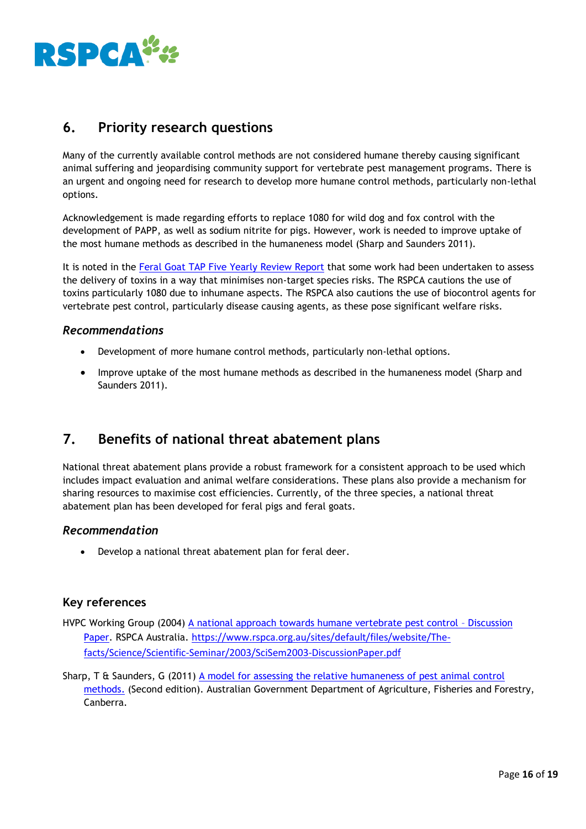

# <span id="page-16-0"></span>**6. Priority research questions**

Many of the currently available control methods are not considered humane thereby causing significant animal suffering and jeopardising community support for vertebrate pest management programs. There is an urgent and ongoing need for research to develop more humane control methods, particularly non-lethal options.

Acknowledgement is made regarding efforts to replace 1080 for wild dog and fox control with the development of PAPP, as well as sodium nitrite for pigs. However, work is needed to improve uptake of the most humane methods as described in the humaneness model (Sharp and Saunders 2011).

It is noted in the [Feral Goat TAP Five Yearly Review Report](http://environment.gov.au/system/files/resources/2109c235-4e01-49f6-90d0-26e6cb58ff0b/files/tap-review-unmanaged-goats.pdf) that some work had been undertaken to assess the delivery of toxins in a way that minimises non-target species risks. The RSPCA cautions the use of toxins particularly 1080 due to inhumane aspects. The RSPCA also cautions the use of biocontrol agents for vertebrate pest control, particularly disease causing agents, as these pose significant welfare risks.

# *Recommendations*

- Development of more humane control methods, particularly non-lethal options.
- Improve uptake of the most humane methods as described in the humaneness model (Sharp and Saunders 2011).

# <span id="page-16-1"></span>**7. Benefits of national threat abatement plans**

National threat abatement plans provide a robust framework for a consistent approach to be used which includes impact evaluation and animal welfare considerations. These plans also provide a mechanism for sharing resources to maximise cost efficiencies. Currently, of the three species, a national threat abatement plan has been developed for feral pigs and feral goats.

# *Recommendation*

Develop a national threat abatement plan for feral deer.

# **Key references**

HVPC Working Group (2004) [A national approach towards humane vertebrate pest control](file:///C:/Users/cso/AppData/Local/Microsoft/Windows/INetCache/Content.Outlook/MYL1K3MV/Humane%20Vertebrate%20Pest%20Control%20Discussion%20Paper%202004.pdf) – Discussion [Paper.](file:///C:/Users/cso/AppData/Local/Microsoft/Windows/INetCache/Content.Outlook/MYL1K3MV/Humane%20Vertebrate%20Pest%20Control%20Discussion%20Paper%202004.pdf) RSPCA Australia. [https://www.rspca.org.au/sites/default/files/website/The](https://www.rspca.org.au/sites/default/files/website/The-facts/Science/Scientific-Seminar/2003/SciSem2003-DiscussionPaper.pdf)[facts/Science/Scientific-Seminar/2003/SciSem2003-DiscussionPaper.pdf](https://www.rspca.org.au/sites/default/files/website/The-facts/Science/Scientific-Seminar/2003/SciSem2003-DiscussionPaper.pdf)

Sharp, T & Saunders, G (2011) [A model for assessing the relative humaneness of pest animal control](http://www.pestsmart.org.au/a-model-for-assessing-the-relative-humaneness-of-pest-animal-control-methods/)  [methods.](http://www.pestsmart.org.au/a-model-for-assessing-the-relative-humaneness-of-pest-animal-control-methods/) (Second edition). Australian Government Department of Agriculture, Fisheries and Forestry, Canberra.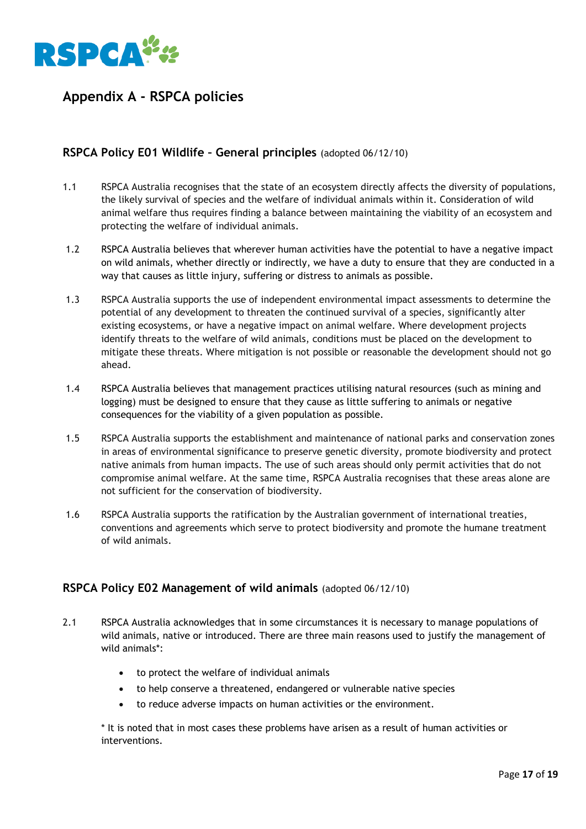

# <span id="page-17-0"></span>**Appendix A - RSPCA policies**

# **RSPCA Policy E01 Wildlife – General principles** (adopted 06/12/10)

- 1.1 RSPCA Australia recognises that the state of an ecosystem directly affects the diversity of populations, the likely survival of species and the welfare of individual animals within it. Consideration of wild animal welfare thus requires finding a balance between maintaining the viability of an ecosystem and protecting the welfare of individual animals.
- 1.2 RSPCA Australia believes that wherever human activities have the potential to have a negative impact on wild animals, whether directly or indirectly, we have a duty to ensure that they are conducted in a way that causes as little injury, suffering or distress to animals as possible.
- 1.3 RSPCA Australia supports the use of independent environmental impact assessments to determine the potential of any development to threaten the continued survival of a species, significantly alter existing ecosystems, or have a negative impact on animal welfare. Where development projects identify threats to the welfare of wild animals, conditions must be placed on the development to mitigate these threats. Where mitigation is not possible or reasonable the development should not go ahead.
- 1.4 RSPCA Australia believes that management practices utilising natural resources (such as mining and logging) must be designed to ensure that they cause as little suffering to animals or negative consequences for the viability of a given population as possible.
- 1.5 RSPCA Australia supports the establishment and maintenance of national parks and conservation zones in areas of environmental significance to preserve genetic diversity, promote biodiversity and protect native animals from human impacts. The use of such areas should only permit activities that do not compromise animal welfare. At the same time, RSPCA Australia recognises that these areas alone are not sufficient for the conservation of biodiversity.
- 1.6 RSPCA Australia supports the ratification by the Australian government of international treaties, conventions and agreements which serve to protect biodiversity and promote the humane treatment of wild animals.

# **RSPCA Policy E02 Management of wild animals** (adopted 06/12/10)

- 2.1 RSPCA Australia acknowledges that in some circumstances it is necessary to manage populations of wild animals, native or introduced. There are three main reasons used to justify the management of wild animals\*:
	- to protect the welfare of individual animals
	- to help conserve a threatened, endangered or vulnerable native species
	- to reduce adverse impacts on human activities or the environment.

\* It is noted that in most cases these problems have arisen as a result of human activities or interventions.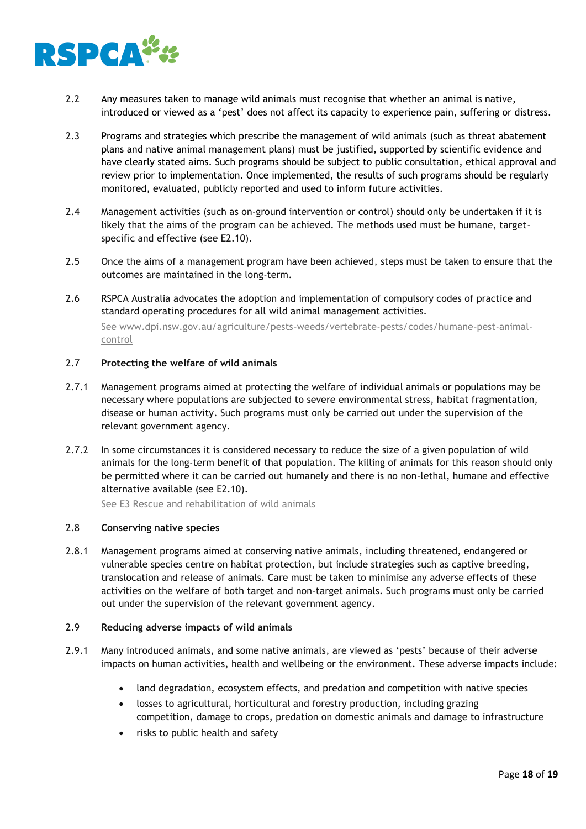

- 2.2 Any measures taken to manage wild animals must recognise that whether an animal is native, introduced or viewed as a 'pest' does not affect its capacity to experience pain, suffering or distress.
- 2.3 Programs and strategies which prescribe the management of wild animals (such as threat abatement plans and native animal management plans) must be justified, supported by scientific evidence and have clearly stated aims. Such programs should be subject to public consultation, ethical approval and review prior to implementation. Once implemented, the results of such programs should be regularly monitored, evaluated, publicly reported and used to inform future activities.
- 2.4 Management activities (such as on-ground intervention or control) should only be undertaken if it is likely that the aims of the program can be achieved. The methods used must be humane, targetspecific and effective (see E2.10).
- 2.5 Once the aims of a management program have been achieved, steps must be taken to ensure that the outcomes are maintained in the long-term.
- 2.6 RSPCA Australia advocates the adoption and implementation of compulsory codes of practice and standard operating procedures for all wild animal management activities. See [www.dpi.nsw.gov.au/agriculture/pests-weeds/vertebrate-pests/codes/humane-pest-animal](http://www.dpi.nsw.gov.au/agriculture/pests-weeds/vertebrate-pests/codes/humane-pest-animal-control)[control](http://www.dpi.nsw.gov.au/agriculture/pests-weeds/vertebrate-pests/codes/humane-pest-animal-control)

#### 2.7 **Protecting the welfare of wild animals**

- 2.7.1 Management programs aimed at protecting the welfare of individual animals or populations may be necessary where populations are subjected to severe environmental stress, habitat fragmentation, disease or human activity. Such programs must only be carried out under the supervision of the relevant government agency.
- 2.7.2 In some circumstances it is considered necessary to reduce the size of a given population of wild animals for the long-term benefit of that population. The killing of animals for this reason should only be permitted where it can be carried out humanely and there is no non-lethal, humane and effective alternative available (see E2.10).

See E3 Rescue and rehabilitation of wild animals

#### 2.8 **Conserving native species**

2.8.1 Management programs aimed at conserving native animals, including threatened, endangered or vulnerable species centre on habitat protection, but include strategies such as captive breeding, translocation and release of animals. Care must be taken to minimise any adverse effects of these activities on the welfare of both target and non-target animals. Such programs must only be carried out under the supervision of the relevant government agency.

#### 2.9 **Reducing adverse impacts of wild animals**

- 2.9.1 Many introduced animals, and some native animals, are viewed as 'pests' because of their adverse impacts on human activities, health and wellbeing or the environment. These adverse impacts include:
	- land degradation, ecosystem effects, and predation and competition with native species
	- losses to agricultural, horticultural and forestry production, including grazing competition, damage to crops, predation on domestic animals and damage to infrastructure
	- risks to public health and safety